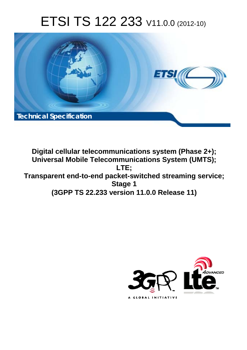# ETSI TS 122 233 V11.0.0 (2012-10)



**Digital cellular telecommunications system (Phase 2+); Universal Mobile Telecommunications System (UMTS); LTE; Transparent end-to-end packet-switched streaming service; Stage 1 (3GPP TS 22.233 version 11.0.0 Release 11)** 

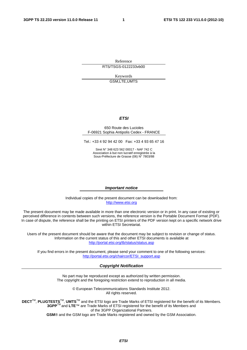Reference RTS/TSGS-0122233vb00

> Keywords GSM,LTE,UMTS

#### *ETSI*

#### 650 Route des Lucioles F-06921 Sophia Antipolis Cedex - FRANCE

Tel.: +33 4 92 94 42 00 Fax: +33 4 93 65 47 16

Siret N° 348 623 562 00017 - NAF 742 C Association à but non lucratif enregistrée à la Sous-Préfecture de Grasse (06) N° 7803/88

#### *Important notice*

Individual copies of the present document can be downloaded from: [http://www.etsi.org](http://www.etsi.org/)

The present document may be made available in more than one electronic version or in print. In any case of existing or perceived difference in contents between such versions, the reference version is the Portable Document Format (PDF). In case of dispute, the reference shall be the printing on ETSI printers of the PDF version kept on a specific network drive within ETSI Secretariat.

Users of the present document should be aware that the document may be subject to revision or change of status. Information on the current status of this and other ETSI documents is available at <http://portal.etsi.org/tb/status/status.asp>

If you find errors in the present document, please send your comment to one of the following services: [http://portal.etsi.org/chaircor/ETSI\\_support.asp](http://portal.etsi.org/chaircor/ETSI_support.asp)

#### *Copyright Notification*

No part may be reproduced except as authorized by written permission. The copyright and the foregoing restriction extend to reproduction in all media.

> © European Telecommunications Standards Institute 2012. All rights reserved.

DECT<sup>™</sup>, PLUGTESTS<sup>™</sup>, UMTS<sup>™</sup> and the ETSI logo are Trade Marks of ETSI registered for the benefit of its Members. **3GPP**TM and **LTE**™ are Trade Marks of ETSI registered for the benefit of its Members and of the 3GPP Organizational Partners.

**GSM**® and the GSM logo are Trade Marks registered and owned by the GSM Association.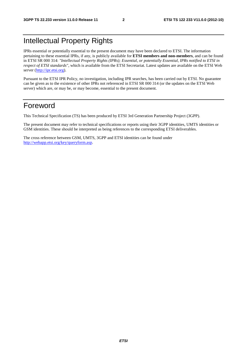# Intellectual Property Rights

IPRs essential or potentially essential to the present document may have been declared to ETSI. The information pertaining to these essential IPRs, if any, is publicly available for **ETSI members and non-members**, and can be found in ETSI SR 000 314: *"Intellectual Property Rights (IPRs); Essential, or potentially Essential, IPRs notified to ETSI in respect of ETSI standards"*, which is available from the ETSI Secretariat. Latest updates are available on the ETSI Web server ([http://ipr.etsi.org\)](http://webapp.etsi.org/IPR/home.asp).

Pursuant to the ETSI IPR Policy, no investigation, including IPR searches, has been carried out by ETSI. No guarantee can be given as to the existence of other IPRs not referenced in ETSI SR 000 314 (or the updates on the ETSI Web server) which are, or may be, or may become, essential to the present document.

### Foreword

This Technical Specification (TS) has been produced by ETSI 3rd Generation Partnership Project (3GPP).

The present document may refer to technical specifications or reports using their 3GPP identities, UMTS identities or GSM identities. These should be interpreted as being references to the corresponding ETSI deliverables.

The cross reference between GSM, UMTS, 3GPP and ETSI identities can be found under [http://webapp.etsi.org/key/queryform.asp.](http://webapp.etsi.org/key/queryform.asp)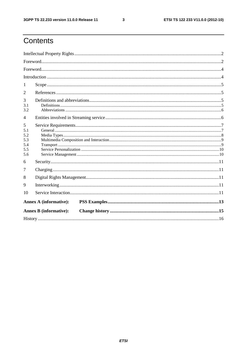$\mathbf{3}$ 

# Contents

| 1                                           |                               |  |  |  |  |  |  |
|---------------------------------------------|-------------------------------|--|--|--|--|--|--|
| 2                                           |                               |  |  |  |  |  |  |
| 3<br>3.1<br>3.2                             |                               |  |  |  |  |  |  |
| 4                                           |                               |  |  |  |  |  |  |
| 5<br>5.1<br>5.2<br>5.3<br>5.4<br>5.5<br>5.6 |                               |  |  |  |  |  |  |
| 6                                           |                               |  |  |  |  |  |  |
| 7                                           |                               |  |  |  |  |  |  |
| 8                                           |                               |  |  |  |  |  |  |
| 9                                           |                               |  |  |  |  |  |  |
| 10                                          |                               |  |  |  |  |  |  |
| <b>Annex A (informative):</b>               |                               |  |  |  |  |  |  |
|                                             | <b>Annex B</b> (informative): |  |  |  |  |  |  |
|                                             |                               |  |  |  |  |  |  |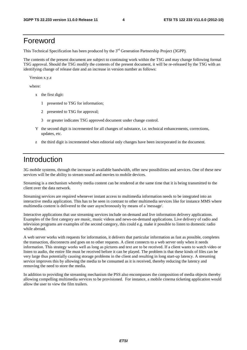### Foreword

This Technical Specification has been produced by the 3<sup>rd</sup> Generation Partnership Project (3GPP).

The contents of the present document are subject to continuing work within the TSG and may change following formal TSG approval. Should the TSG modify the contents of the present document, it will be re-released by the TSG with an identifying change of release date and an increase in version number as follows:

Version x.y.z

where:

- x the first digit:
	- 1 presented to TSG for information;
	- 2 presented to TSG for approval;
	- 3 or greater indicates TSG approved document under change control.
- Y the second digit is incremented for all changes of substance, i.e. technical enhancements, corrections, updates, etc.
- z the third digit is incremented when editorial only changes have been incorporated in the document.

### Introduction

3G mobile systems, through the increase in available bandwidth, offer new possibilities and services. One of these new services will be the ability to stream sound and movies to mobile devices.

Streaming is a mechanism whereby media content can be rendered at the same time that it is being transmitted to the client over the data network.

Streaming services are required whenever instant access to multimedia information needs to be integrated into an interactive media application. This has to be seen in contrast to other multimedia services like for instance MMS where multimedia content is delivered to the user asynchronously by means of a 'message'.

Interactive applications that use streaming services include on-demand and live information delivery applications. Examples of the first category are music, music videos and news-on-demand applications. Live delivery of radio and television programs are examples of the second category, this could e.g. make it possible to listen to domestic radio while abroad.

A web server works with requests for information, it delivers that particular information as fast as possible, completes the transaction, disconnects and goes on to other requests. A client connects to a web server only when it needs information. This strategy works well as long as pictures and text are to be received. If a client wants to watch video or listen to audio, the entire file must be received before it can be played. The problem is that these kinds of files can be very large thus potentially causing storage problems in the client and resulting in long start-up latency. A streaming service improves this by allowing the media to be consumed as it is received, thereby reducing the latency and removing the need to store the media.

In addition to providing the streaming mechanism the PSS also encompasses the composition of media objects thereby allowing compelling multimedia services to be provisioned. For instance, a mobile cinema ticketing application would allow the user to view the film trailers.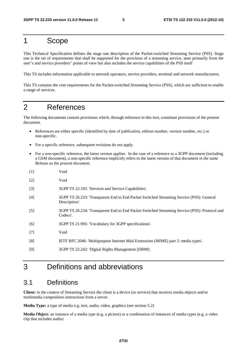# 1 Scope

This Technical Specification defines the stage one description of the Packet-switched Streaming Service (PSS). Stage one is the set of requirements that shall be supported for the provision of a streaming service, seen primarily from the user"s and service providers" points of view but also includes the service capabilities of the PSS itself

This TS includes information applicable to network operators, service providers, terminal and network manufacturers.

This TS contains the core requirements for the Packet-switched Streaming Service (PSS), which are sufficient to enable a range of services.

## 2 References

The following documents contain provisions which, through reference in this text, constitute provisions of the present document.

- References are either specific (identified by date of publication, edition number, version number, etc.) or non-specific.
- For a specific reference, subsequent revisions do not apply.
- For a non-specific reference, the latest version applies. In the case of a reference to a 3GPP document (including a GSM document), a non-specific reference implicitly refers to the latest version of that document *in the same Release as the present document*.
- [1] Void [2] Void [3] 3GPP TS 22.105: 'Services and Service Capabilities'. [4] 3GPP TS 26.233: 'Transparent End to End Packet Switched Streaming Service (PSS): General Description'. [5] 3GPP TS 26.234: 'Transparent End to End Packet Switched Streaming Service (PSS): Protocol and Codecs'. [6] 3GPP TS 21.905: 'Vocabulary for 3GPP specifications'. [7] Void [8] IETF RFC 2046: 'Multipurpose Internet Mail Extensions (MIME) part 2: media types'. [9] 3GPP TS 22.242: 'Digital Rights Management (DRM)'.

# 3 Definitions and abbreviations

### 3.1 Definitions

**Client:** in the context of Streaming Service the client is a device (or service) that receives media objects and/or multimedia composition instructions from a server.

**Media Type:** a type of media e.g. text, audio, video, graphics (see section 5.2)

**Media Object:** an instance of a media type (e.g. a picture) or a combination of instances of media types (e.g. a video clip that includes audio)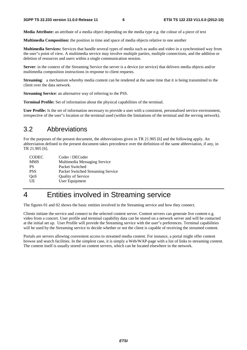**Media Attribute:** an attribute of a media object depending on the media type e.g. the colour of a piece of text

**Multimedia Composition:** the position in time and space of media objects relative to one another

**Multimedia Services:** Services that handle several types of media such as audio and video in a synchronised way from the user"s point of view. A multimedia service may involve multiple parties, multiple connections, and the addition or deletion of resources and users within a single communication session.

**Server**: in the context of the Streaming Service the server is a device (or service) that delivers media objects and/or multimedia composition instructions in response to client requests.

**Streaming**: a mechanism whereby media content can be rendered at the same time that it is being transmitted to the client over the data network.

**Streaming Service**: an alternative way of referring to the PSS.

**Terminal Profile:** Set of information about the physical capabilities of the terminal.

**User Profile:** Is the set of information necessary to provide a user with a consistent, personalised service environment, irrespective of the user"s location or the terminal used (within the limitations of the terminal and the serving network).

### 3.2 Abbreviations

For the purposes of the present document, the abbreviations given in TR 21.905 [6] and the following apply. An abbreviation defined in the present document takes precedence over the definition of the same abbreviation, if any, in TR 21.905 [6].

| <b>CODEC</b> | Coder / DECoder                   |
|--------------|-----------------------------------|
| <b>MMS</b>   | Multimedia Messaging Service      |
| PS           | Packet Switched                   |
| <b>PSS</b>   | Packet Switched Streaming Service |
| QoS          | <b>Quality of Service</b>         |
| <b>I</b> IE  | User Equipment                    |

# 4 Entities involved in Streaming service

The figures 01 and 02 shows the basic entities involved in the Streaming service and how they connect.

Clients initiate the service and connect to the selected content server. Content servers can generate live content e.g. video from a concert. User profile and terminal capability data can be stored on a network server and will be contacted at the initial set up. User Profile will provide the Streaming service with the user"s preferences. Terminal capabilities will be used by the Streaming service to decide whether or not the client is capable of receiving the streamed content.

Portals are servers allowing convenient access to streamed media content. For instance, a portal might offer content browse and search facilities. In the simplest case, it is simply a Web/WAP-page with a list of links to streaming content. The content itself is usually stored on content servers, which can be located elsewhere in the network.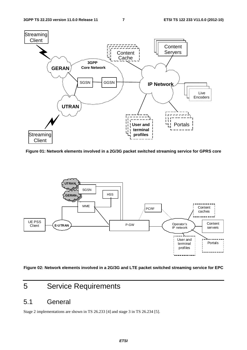

**Figure 01: Network elements involved in a 2G/3G packet switched streaming service for GPRS core** 



**Figure 02: Network elements involved in a 2G/3G and LTE packet switched streaming service for EPC** 

# 5 Service Requirements

### 5.1 General

Stage 2 implementations are shown in TS 26.233 [4] and stage 3 in TS 26.234 [5].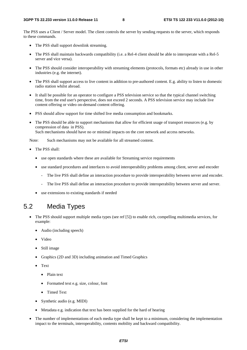The PSS uses a Client / Server model. The client controls the server by sending requests to the server, which responds to these commands.

- The PSS shall support downlink streaming.
- The PSS shall maintain backwards compatibility (i.e. a Rel-4 client should be able to interoperate with a Rel-5 server and vice versa).
- The PSS should consider interoperability with streaming elements (protocols, formats etc) already in use in other industries (e.g. the internet).
- The PSS shall support access to live content in addition to pre-authored content. E.g. ability to listen to domestic radio station whilst abroad.
- It shall be possible for an operator to configure a PSS television service so that the typical channel switching time, from the end user's perspective, does not exceed 2 seconds. A PSS television service may include live content offering or video on-demand content offering.
- PSS should allow support for time shifted live media consumption and bookmarks.
- The PSS should be able to support mechanisms that allow for efficient usage of transport resources (e.g. by compression of data in PSS). Such mechanisms should have no or minimal impacts on the core network and access networks.

Note: Such mechanisms may not be available for all streamed content.

- The PSS shall:
	- use open standards where these are available for Streaming service requirements
	- use standard procedures and interfaces to avoid interoperability problems among client, server and encoder
		- The live PSS shall define an interaction procedure to provide interoperability between server and encoder.
		- The live PSS shall define an interaction procedure to provide interoperability between server and server.
	- use extensions to existing standards if needed

### 5.2 Media Types

- The PSS should support multiple media types (see ref [5]) to enable rich, compelling multimedia services, for example:
	- Audio (including speech)
	- Video
	- Still image
	- Graphics (2D and 3D) including animation and Timed Graphics
	- Text
		- Plain text
		- Formatted text e.g. size, colour, font
		- Timed Text
	- Synthetic audio (e.g. MIDI)
	- Metadata e.g. indication that text has been supplied for the hard of hearing
- The number of implementations of each media type shall be kept to a minimum, considering the implementation impact to the terminals, interoperability, contents mobility and backward compatibility.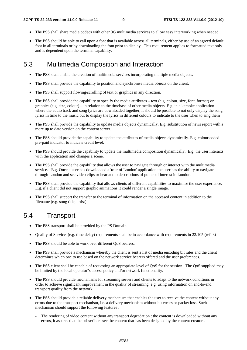- The PSS shall share media codecs with other 3G multimedia services to allow easy interworking when needed.
- The PSS should be able to call upon a font that is available across all terminals, either by use of an agreed default font in all terminals or by downloading the font prior to display. This requirement applies to formatted text only and is dependent upon the terminal capability.

### 5.3 Multimedia Composition and Interaction

- The PSS shall enable the creation of multimedia services incorporating multiple media objects.
- The PSS shall provide the capability to position and synchronise media objects on the client.
- The PSS shall support flowing/scrolling of text or graphics in any direction.
- The PSS shall provide the capability to specify the media attributes text (e.g. colour, size, font, format) or graphics (e.g. size, colour) – in relation to the timebase of other media objects. E.g. in a karaoke application where the audio track and song lyrics are downloaded together, it should be possible to not only display the song lyrics in time to the music but to display the lyrics in different colours to indicate to the user when to sing them
- The PSS shall provide the capability to update media objects dynamically. E.g. substitution of news report with a more up to date version on the content server.
- The PSS should provide the capability to update the attributes of media objects dynamically. E.g. colour coded pre-paid indicator to indicate credit level.
- The PSS should provide the capability to update the multimedia composition dynamically. E.g. the user interacts with the application and changes a scene.
- The PSS shall provide the capability that allows the user to navigate through or interact with the multimedia service. E.g. Once a user has downloaded a 'tour of London' application the user has the ability to navigate through London and see video clips or hear audio descriptions of points of interest in London.
- The PSS shall provide the capability that allows clients of different capabilities to maximise the user experience. E.g. if a client did not support graphic animations it could render a single image.
- The PSS shall support the transfer to the terminal of information on the accessed content in addition to the filename (e.g. song title, artist).

### 5.4 Transport

- The PSS transport shall be provided by the PS Domain.
- Quality of Service (e.g. time delay) requirements shall be in accordance with requirements in 22.105 (ref. 3)
- The PSS should be able to work over different QoS bearers.
- The PSS shall provide a mechanism whereby the client is sent a list of media encoding bit rates and the client determines which one to use based on the network service bearers offered and the user preferences.
- The PSS client shall be capable of requesting an appropriate level of QoS for the session. The QoS supplied may be limited by the local operator"s access policy and/or network functionality.
- The PSS should provide mechanisms for streaming servers and clients to adapt to the network conditions in order to achieve significant improvement in the quality of streaming, e.g. using information on end-to-end transport quality from the network.
- The PSS should provide a reliable delivery mechanism that enables the user to receive the content without any errors due to the transport mechanism, i.e. a delivery mechanism without bit errors or packet loss. Such mechanism should support the following features :
	- The rendering of video content without any transport degradation : the content is downloaded without any errors, it assures that the subscribers see the content that has been designed by the content creators.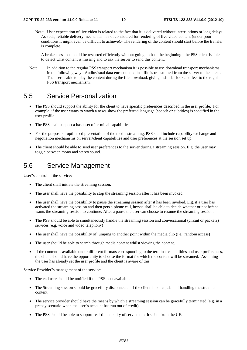- Note: User expectation of live video is related to the fact that it is delivered without interruptions or long delays. As such, reliable delivery mechanism is not considered for rendering of live video content (under poor conditions it might even be difficult to achieve).- The rendering of the content should start before the transfer is complete.
- A broken session should be restarted efficiently without going back to the beginning : the PSS client is able to detect what content is missing and to ask the server to send this content.
- Note: In addition to the regular PSS transport mechanism it is possible to use download transport mechanisms in the following way: Audiovisual data encapsulated in a file is transmitted from the server to the client. The user is able to play the content during the file download, giving a similar look and feel to the regular PSS transport mechanism.

### 5.5 Service Personalization

- The PSS should support the ability for the client to have specific preferences described in the user profile. For example, if the user wants to watch a news show the preferred language (speech or subtitles) is specified in the user profile
- The PSS shall support a basic set of terminal capabilities.
- For the purpose of optimised presentation of the media streaming, PSS shall include capability exchange and negotiation mechanisms on server/client capabilities and user preferences at the session set up.
- The client should be able to send user preferences to the server during a streaming session. E.g. the user may toggle between mono and stereo sound.

### 5.6 Service Management

User"s control of the service:

- The client shall initiate the streaming session.
- The user shall have the possibility to stop the streaming session after it has been invoked.
- The user shall have the possibility to pause the streaming session after it has been invoked. E.g. if a user has activated the streaming session and then gets a phone call, he/she shall be able to decide whether or not he/she wants the streaming session to continue. After a pause the user can choose to resume the streaming session.
- The PSS should be able to simultaneously handle the streaming session and conversational (circuit or packet?) services (e.g. voice and video telephony)
- The user shall have the possibility of jumping to another point within the media clip (i.e., random access)
- The user should be able to search through media content whilst viewing the content.
- If the content is available under different formats corresponding to the terminal capabilities and user preferences, the client should have the opportunity to choose the format for which the content will be streamed. Assuming the user has already set the user profile and the client is aware of this.

Service Provider"s management of the service:

- The end user should be notified if the PSS is unavailable.
- The Streaming session should be gracefully disconnected if the client is not capable of handling the streamed content.
- The service provider should have the means by which a streaming session can be gracefully terminated (e.g. in a prepay scenario when the user"s account has run out of credit)
- The PSS should be able to support real-time quality of service metrics data from the UE.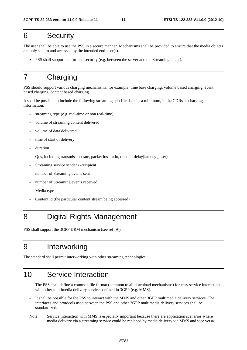# 6 Security

The user shall be able to use the PSS in a secure manner. Mechanisms shall be provided to ensure that the media objects are only sent to and accessed by the intended end-user(s).

• PSS shall support end-to-end security (e.g. between the server and the Streaming client).

# 7 Charging

PSS should support various charging mechanisms, for example, time base charging, volume based charging, event based charging, content based charging.

It shall be possible to include the following streaming specific data, as a minimum, in the CDRs as charging information:

- streaming type (e.g. real-time or non real-time),
- volume of streaming content delivered
- volume of data delivered
- time of start of delivery
- duration
- Qos, including transmission rate, packet loss ratio, transfer delay(latency ,jitter),
- Streaming service sender / -recipient
- number of Streaming events sent
- number of Streaming events received.
- Media type
- Content id (the particular content stream being accessed)

# 8 Digital Rights Management

PSS shall support the 3GPP DRM mechanism (see ref [9])

# 9 Interworking

The standard shall permit interworking with other streaming technologies.

# 10 Service Interaction

- The PSS shall define a common file format (common to all download mechanisms) for easy service interaction with other multimedia delivery services defined in 3GPP (e.g. MMS).
- It shall be possible for the PSS to interact with the MMS and other 3GPP multimedia delivery services. The interfaces and protocols used between the PSS and other 3GPP multimedia delivery services shall be standardized.
- Note : Service interaction with MMS is especially important because there are application scenarios where media delivery via a streaming service could be replaced by media delivery via MMS and vice versa.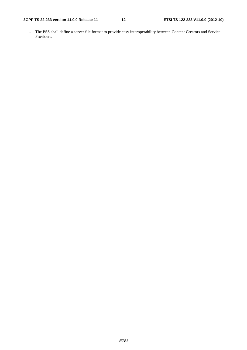- The PSS shall define a server file format to provide easy interoperability between Content Creators and Service Providers.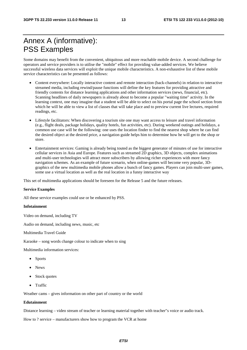# Annex A (informative): PSS Examples

Some domains may benefit from the convenient, ubiquitous and more reachable mobile device. A second challenge for operators and service providers is to utilise the "mobile" effect for providing value-added services. We believe successful wireless data services will exploit the unique mobile characteristics. A non-exhaustive list of these mobile service characteristics can be presented as follows:

- Content everywhere: Locally interactive content and remote interaction (back-channels) in relation to interactive streamed media, including rewind/pause functions will define the key features for providing attractive and friendly contents for distance learning applications and other information services (news, financial, etc). Scanning headlines of daily newspapers is already about to become a popular "waiting time" activity. In the learning context, one may imagine that a student will be able to select on his portal page the school section from which he will be able to view a list of classes that will take place and to preview current live lectures, required readings, etc.
- Lifestyle facilitators: When discovering a tourism site one may want access to leisure and travel information (e.g., flight deals, package holidays, quality hotels, fun activities, etc). During weekend outings and holidays, a common use case will be the following: one uses the location finder to find the nearest shop where he can find the desired object at the desired price, a navigation guide helps him to determine how he will get to the shop or store.
- Entertainment services: Gaming is already being touted as the biggest generator of minutes of use for interactive cellular services in Asia and Europe. Features such as streamed 2D graphics, 3D objects, complex animations and multi-user technologies will attract more subscribers by allowing richer experiences with more fancy navigation schemes. As an example of future scenario, when online-games will become very popular, 3Dgraphics of the new multimedia mobile phones allow a bunch of fancy games. Players can join multi-user games, some use a virtual location as well as the real location in a funny interactive way

This set of multimedia applications should be foreseen for the Release 5 and the future releases.

#### **Service Examples**

All these service examples could use or be enhanced by PSS.

#### **Infotainment**

Video on demand, including TV

Audio on demand, including news, music, etc

Multimedia Travel Guide

Karaoke – song words change colour to indicate when to sing

Multimedia information services:

- Sports
- News
- Stock quotes
- Traffic

Weather cams – gives information on other part of country or the world

#### **Edutainment**

Distance learning – video stream of teacher or learning material together with teacher"s voice or audio track.

How to ? service – manufacturers show how to program the VCR at home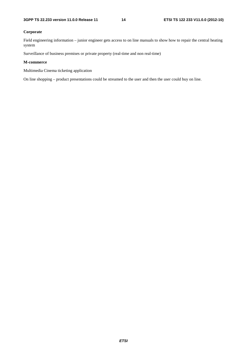#### **Corporate**

Field engineering information – junior engineer gets access to on line manuals to show how to repair the central heating system

Surveillance of business premises or private property (real-time and non real-time)

#### **M-commerce**

Multimedia Cinema ticketing application

On line shopping – product presentations could be streamed to the user and then the user could buy on line.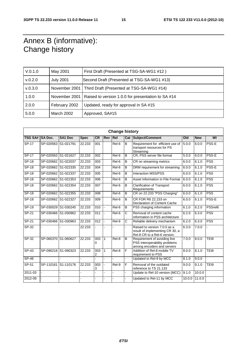# Annex B (informative): Change history

| V.0.1.0 | May 2001          | First Draft (Presented at TSG-SA-WG1 #12)                 |
|---------|-------------------|-----------------------------------------------------------|
| V.0.2.0 | <b>July 2001</b>  | Second Draft (Presented at TSG-SA-WG1 #13)                |
| V.0.3.0 |                   | November 2001   Third Draft (Presented at TSG-SA-WG1 #14) |
| 1.0.0   | November 2001     | Raised to version 1.0.0 for presentation to SA #14        |
| 2.0.0   | February 2002     | Updated, ready for approval in SA #15                     |
| 5.0.0   | <b>March 2002</b> | Approved, SA#15                                           |

| <b>Change history</b> |                     |                |             |                  |              |                |                |                                                                                                 |        |            |            |
|-----------------------|---------------------|----------------|-------------|------------------|--------------|----------------|----------------|-------------------------------------------------------------------------------------------------|--------|------------|------------|
| TSG SA# SA Doc.       |                     | <b>SA1 Doc</b> | <b>Spec</b> | <b>CR</b>        | <b>Rev</b>   | Rel            | Cat            | Subject/Comment                                                                                 | Old    | <b>New</b> | WI         |
| <b>SP-17</b>          | SP-020563           | S1-021791      | 22.233      | 001              |              | Rel-6          | B              | Requirement for efficient use of<br>transport resources for PS<br>Streaming                     | 5.0.0  | 6.0.0      | PSS-E      |
| <b>SP-17</b>          | SP-020563 S1-021627 |                | 22.233      | 002              |              | Rel-6          | B              | CR, PSS server file format                                                                      | 5.0.0  | 6.0.0      | PSS-E      |
| <b>SP-18</b>          | SP-020662 S1-022037 |                | 22.233      | 003              |              | Rel-6          | B              | CR on streaming metrics                                                                         | 6.0.0  | 6.1.0      | <b>PSS</b> |
| $SP-18$               | SP-020662 S1-022335 |                | 22.233      | 004              |              | Rel-6          | B              | DRM requirement for streaming                                                                   | 6.0.0  | 6.1.0      | PSS-E      |
| $SP-18$               | SP-020662 S1-022337 |                | 22.233      | 005              |              | Rel-6          | B              | <b>Interaction MSS/PSS</b>                                                                      | 6.0.0  | 6.1.0      | <b>PSS</b> |
| $SP-18$               | SP-020662 S1-022353 |                | 22.233      | 006              |              | Rel-6          | B              | Asset Information in File Format                                                                | 6.0.0  | 6.1.0      | <b>PSS</b> |
| $SP-18$               | SP-020662 S1-022354 |                | 22.233      | 007              |              | Rel-6          | B              | <b>Clarification of Transport</b><br>Requirements                                               | 6.0.0  | 6.1.0      | <b>PSS</b> |
| $SP-18$               | SP-020662 S1-022355 |                | 22.233      | $\overline{008}$ |              | Rel-6          | B              | CR on 22.233 "PSS Charging"                                                                     | 6.0.0  | 6.1.0      | <b>PSS</b> |
| <b>SP-18</b>          | SP-020662 S1-022327 |                | 22.233      | 009              |              | Rel-6          | B              | CR FOR R6 22,233 on<br>Declaration of Content Cache                                             | 6.0.0  | 6.1.0      | PSS-E      |
| $SP-19$               | SP-030029 S1-030245 |                | 22.233      | 010              | $\mathbf{r}$ | $ReI-6$        | $\overline{B}$ | PSS charging information                                                                        | 6.1.0  | 6.2.0      | PSSrel6    |
| $SP-21$               | SP-030466 S1-030962 |                | 22.233      | $\overline{011}$ |              | $Rel-6$        | C              | Removal of content cache<br>information in PSS architecture                                     | 6.2.0  | 6.3.0      | <b>PSS</b> |
| SP-21                 | SP-030466 S1-030963 |                | 22.233      | 012              |              | Rel-6          | С              | Reliable delivery mechanism                                                                     | 6.2.0  | 6.3.0      | <b>PSS</b> |
| SP-32                 |                     |                | 22.233      |                  |              |                |                | Raised to version 7.0.0 as a<br>result of implementing CR 30, a<br>Rel-8 CR to a Rel-6 version. | 6.3.0  | 7.0.0      |            |
| SP-32                 | SP-060370 S1-060627 |                | 22.233      | 003<br>0         | $\mathbf{1}$ | $Rel-8$        | B              | Requirement of avoiding live<br>PSS interoperability problems<br>among encoders and servers     | 7.0.0  | 8.0.0      | TEI8       |
| $SP-43$               | SP-090218 S1-090323 |                | 22.233      | 003<br>2         | $\mathbf{1}$ | Rel-8          | F              | Addition of Rel-8 mobile TV<br>requirement to PSS                                               | 8.0.0  | 8.1.0      | TEI8       |
| $SP-46$               |                     |                |             |                  |              |                | ÷.             | Updated to Rel-9 by MCC                                                                         | 8.1.0  | 9.0.0      |            |
| SP-51                 | SP-110161           | S1-110176      | 22.233      | 003<br>3         |              | Rel-9          | F              | Removal of the outdated<br>reference to TS 21.133                                               | 9.0.0  | 9.1.0      | TEI9       |
| 2011-03               |                     |                |             |                  |              | $\overline{a}$ |                | Update to Rel-10 version (MCC)                                                                  | 9.1.0  | 10.0.0     |            |
| 2012-09               |                     |                |             |                  |              | $\overline{a}$ |                | Updated to Rel-11 by MCC                                                                        | 10.0.0 | 11.0.0     |            |